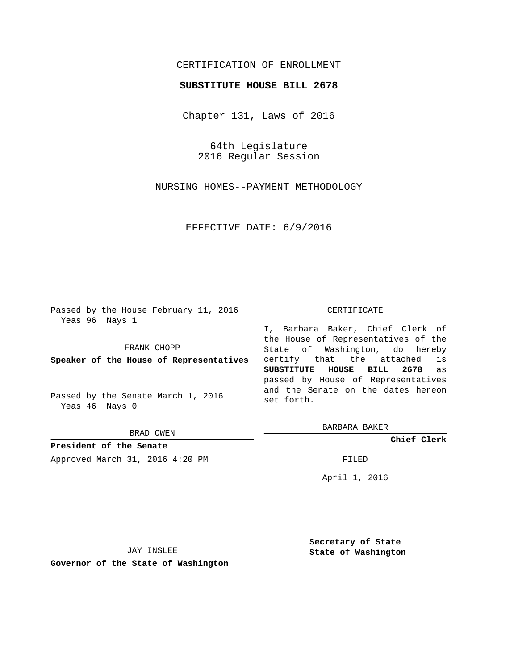## CERTIFICATION OF ENROLLMENT

### **SUBSTITUTE HOUSE BILL 2678**

Chapter 131, Laws of 2016

64th Legislature 2016 Regular Session

NURSING HOMES--PAYMENT METHODOLOGY

EFFECTIVE DATE: 6/9/2016

Passed by the House February 11, 2016 Yeas 96 Nays 1

FRANK CHOPP

**Speaker of the House of Representatives**

Passed by the Senate March 1, 2016 Yeas 46 Nays 0

BRAD OWEN

**President of the Senate** Approved March 31, 2016 4:20 PM FILED

#### CERTIFICATE

I, Barbara Baker, Chief Clerk of the House of Representatives of the State of Washington, do hereby certify that the attached is **SUBSTITUTE HOUSE BILL 2678** as passed by House of Representatives and the Senate on the dates hereon set forth.

BARBARA BAKER

**Chief Clerk**

April 1, 2016

JAY INSLEE

**Governor of the State of Washington**

**Secretary of State State of Washington**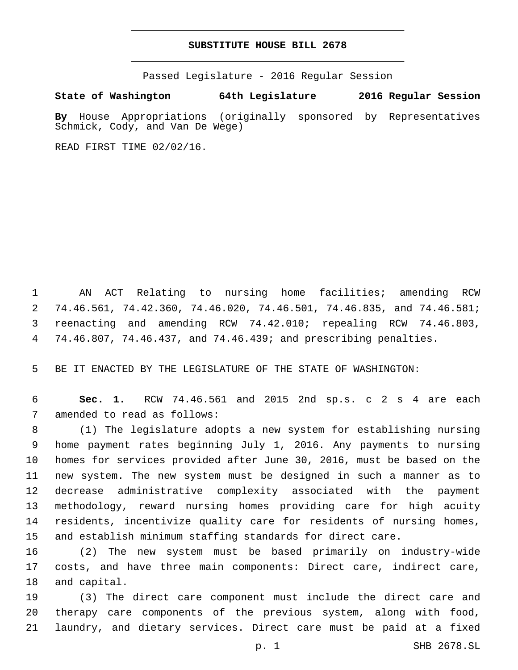## **SUBSTITUTE HOUSE BILL 2678**

Passed Legislature - 2016 Regular Session

**State of Washington 64th Legislature 2016 Regular Session**

**By** House Appropriations (originally sponsored by Representatives Schmick, Cody, and Van De Wege)

READ FIRST TIME 02/02/16.

 AN ACT Relating to nursing home facilities; amending RCW 74.46.561, 74.42.360, 74.46.020, 74.46.501, 74.46.835, and 74.46.581; reenacting and amending RCW 74.42.010; repealing RCW 74.46.803, 74.46.807, 74.46.437, and 74.46.439; and prescribing penalties.

BE IT ENACTED BY THE LEGISLATURE OF THE STATE OF WASHINGTON:

 **Sec. 1.** RCW 74.46.561 and 2015 2nd sp.s. c 2 s 4 are each 7 amended to read as follows:

 (1) The legislature adopts a new system for establishing nursing home payment rates beginning July 1, 2016. Any payments to nursing homes for services provided after June 30, 2016, must be based on the new system. The new system must be designed in such a manner as to decrease administrative complexity associated with the payment methodology, reward nursing homes providing care for high acuity residents, incentivize quality care for residents of nursing homes, and establish minimum staffing standards for direct care.

 (2) The new system must be based primarily on industry-wide costs, and have three main components: Direct care, indirect care, 18 and capital.

 (3) The direct care component must include the direct care and therapy care components of the previous system, along with food, laundry, and dietary services. Direct care must be paid at a fixed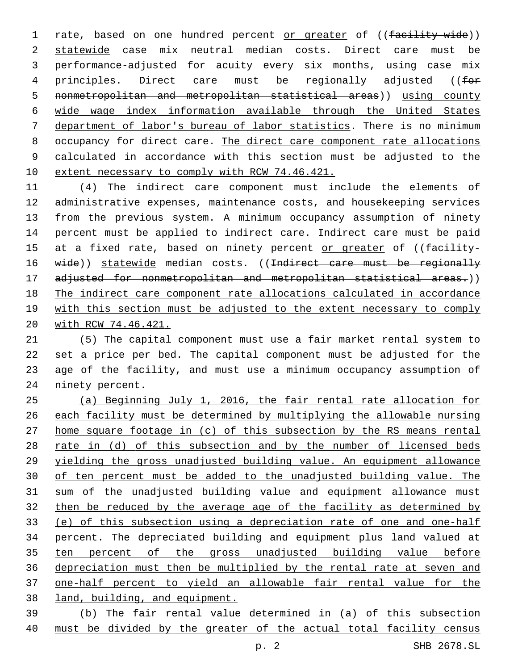1 rate, based on one hundred percent or greater of ((facility-wide)) statewide case mix neutral median costs. Direct care must be performance-adjusted for acuity every six months, using case mix 4 principles. Direct care must be regionally adjusted (( $\text{f}_{\text{O}}$ ) nonmetropolitan and metropolitan statistical areas)) using county wide wage index information available through the United States department of labor's bureau of labor statistics. There is no minimum occupancy for direct care. The direct care component rate allocations calculated in accordance with this section must be adjusted to the 10 extent necessary to comply with RCW 74.46.421.

 (4) The indirect care component must include the elements of administrative expenses, maintenance costs, and housekeeping services from the previous system. A minimum occupancy assumption of ninety percent must be applied to indirect care. Indirect care must be paid 15 at a fixed rate, based on ninety percent or greater of ((facility-16 wide)) statewide median costs. ((Indirect care must be regionally 17 adjusted for nonmetropolitan and metropolitan statistical areas.)) The indirect care component rate allocations calculated in accordance with this section must be adjusted to the extent necessary to comply with RCW 74.46.421.

 (5) The capital component must use a fair market rental system to set a price per bed. The capital component must be adjusted for the age of the facility, and must use a minimum occupancy assumption of 24 ninety percent.

 (a) Beginning July 1, 2016, the fair rental rate allocation for each facility must be determined by multiplying the allowable nursing home square footage in (c) of this subsection by the RS means rental 28 rate in (d) of this subsection and by the number of licensed beds yielding the gross unadjusted building value. An equipment allowance of ten percent must be added to the unadjusted building value. The sum of the unadjusted building value and equipment allowance must then be reduced by the average age of the facility as determined by (e) of this subsection using a depreciation rate of one and one-half percent. The depreciated building and equipment plus land valued at ten percent of the gross unadjusted building value before depreciation must then be multiplied by the rental rate at seven and one-half percent to yield an allowable fair rental value for the land, building, and equipment.

 (b) The fair rental value determined in (a) of this subsection must be divided by the greater of the actual total facility census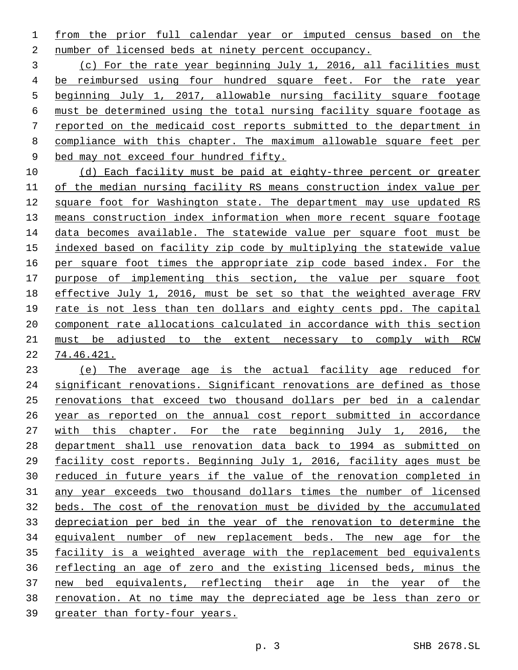from the prior full calendar year or imputed census based on the number of licensed beds at ninety percent occupancy.

 (c) For the rate year beginning July 1, 2016, all facilities must be reimbursed using four hundred square feet. For the rate year beginning July 1, 2017, allowable nursing facility square footage must be determined using the total nursing facility square footage as reported on the medicaid cost reports submitted to the department in compliance with this chapter. The maximum allowable square feet per bed may not exceed four hundred fifty.

10 (d) Each facility must be paid at eighty-three percent or greater of the median nursing facility RS means construction index value per square foot for Washington state. The department may use updated RS means construction index information when more recent square footage 14 data becomes available. The statewide value per square foot must be indexed based on facility zip code by multiplying the statewide value per square foot times the appropriate zip code based index. For the purpose of implementing this section, the value per square foot effective July 1, 2016, must be set so that the weighted average FRV rate is not less than ten dollars and eighty cents ppd. The capital component rate allocations calculated in accordance with this section 21 must be adjusted to the extent necessary to comply with RCW 74.46.421.

 (e) The average age is the actual facility age reduced for significant renovations. Significant renovations are defined as those renovations that exceed two thousand dollars per bed in a calendar year as reported on the annual cost report submitted in accordance with this chapter. For the rate beginning July 1, 2016, the department shall use renovation data back to 1994 as submitted on facility cost reports. Beginning July 1, 2016, facility ages must be reduced in future years if the value of the renovation completed in any year exceeds two thousand dollars times the number of licensed beds. The cost of the renovation must be divided by the accumulated depreciation per bed in the year of the renovation to determine the equivalent number of new replacement beds. The new age for the facility is a weighted average with the replacement bed equivalents reflecting an age of zero and the existing licensed beds, minus the new bed equivalents, reflecting their age in the year of the renovation. At no time may the depreciated age be less than zero or greater than forty-four years.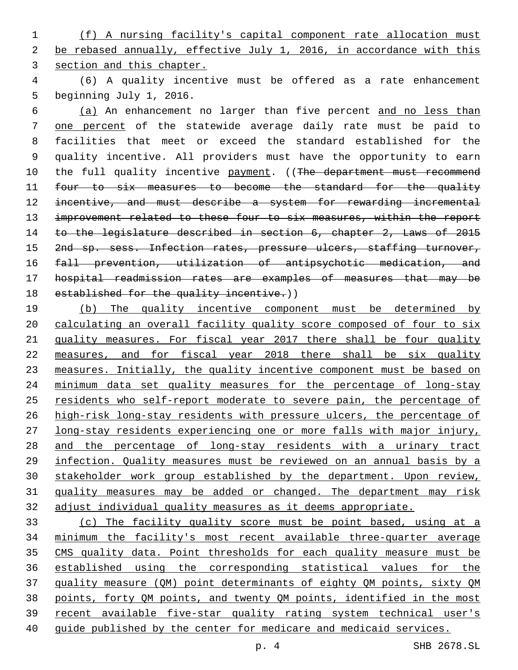(f) A nursing facility's capital component rate allocation must be rebased annually, effective July 1, 2016, in accordance with this section and this chapter.

 (6) A quality incentive must be offered as a rate enhancement 5 beginning July 1, 2016.

 (a) An enhancement no larger than five percent and no less than one percent of the statewide average daily rate must be paid to facilities that meet or exceed the standard established for the quality incentive. All providers must have the opportunity to earn 10 the full quality incentive payment. ((The department must recommend 11 four to six measures to become the standard for the quality 12 incentive, and must describe a system for rewarding incremental 13 improvement related to these four to six measures, within the report 14 to the legislature described in section 6, chapter 2, Laws of 2015 15 2nd sp. sess. Infection rates, pressure ulcers, staffing turnover, fall prevention, utilization of antipsychotic medication, and hospital readmission rates are examples of measures that may be 18 established for the quality incentive.))

 (b) The quality incentive component must be determined by calculating an overall facility quality score composed of four to six quality measures. For fiscal year 2017 there shall be four quality measures, and for fiscal year 2018 there shall be six quality measures. Initially, the quality incentive component must be based on minimum data set quality measures for the percentage of long-stay residents who self-report moderate to severe pain, the percentage of 26 high-risk long-stay residents with pressure ulcers, the percentage of long-stay residents experiencing one or more falls with major injury, 28 and the percentage of long-stay residents with a urinary tract infection. Quality measures must be reviewed on an annual basis by a 30 stakeholder work group established by the department. Upon review, quality measures may be added or changed. The department may risk adjust individual quality measures as it deems appropriate.

 (c) The facility quality score must be point based, using at a minimum the facility's most recent available three-quarter average CMS quality data. Point thresholds for each quality measure must be established using the corresponding statistical values for the quality measure (QM) point determinants of eighty QM points, sixty QM points, forty QM points, and twenty QM points, identified in the most recent available five-star quality rating system technical user's guide published by the center for medicare and medicaid services.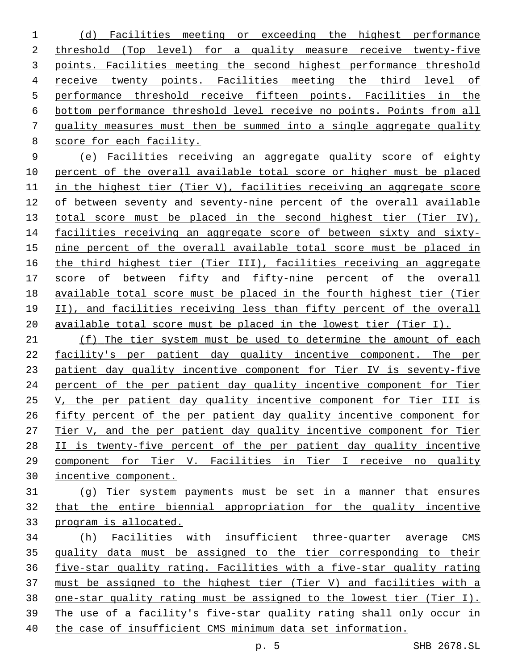(d) Facilities meeting or exceeding the highest performance threshold (Top level) for a quality measure receive twenty-five points. Facilities meeting the second highest performance threshold receive twenty points. Facilities meeting the third level of performance threshold receive fifteen points. Facilities in the bottom performance threshold level receive no points. Points from all quality measures must then be summed into a single aggregate quality score for each facility.

 (e) Facilities receiving an aggregate quality score of eighty percent of the overall available total score or higher must be placed in the highest tier (Tier V), facilities receiving an aggregate score of between seventy and seventy-nine percent of the overall available 13 total score must be placed in the second highest tier (Tier IV), 14 facilities receiving an aggregate score of between sixty and sixty-15 nine percent of the overall available total score must be placed in the third highest tier (Tier III), facilities receiving an aggregate score of between fifty and fifty-nine percent of the overall available total score must be placed in the fourth highest tier (Tier II), and facilities receiving less than fifty percent of the overall available total score must be placed in the lowest tier (Tier I).

 (f) The tier system must be used to determine the amount of each facility's per patient day quality incentive component. The per patient day quality incentive component for Tier IV is seventy-five percent of the per patient day quality incentive component for Tier 25 V, the per patient day quality incentive component for Tier III is fifty percent of the per patient day quality incentive component for Tier V, and the per patient day quality incentive component for Tier II is twenty-five percent of the per patient day quality incentive component for Tier V. Facilities in Tier I receive no quality incentive component.

- (g) Tier system payments must be set in a manner that ensures that the entire biennial appropriation for the quality incentive program is allocated.
- (h) Facilities with insufficient three-quarter average CMS quality data must be assigned to the tier corresponding to their five-star quality rating. Facilities with a five-star quality rating must be assigned to the highest tier (Tier V) and facilities with a one-star quality rating must be assigned to the lowest tier (Tier I). The use of a facility's five-star quality rating shall only occur in the case of insufficient CMS minimum data set information.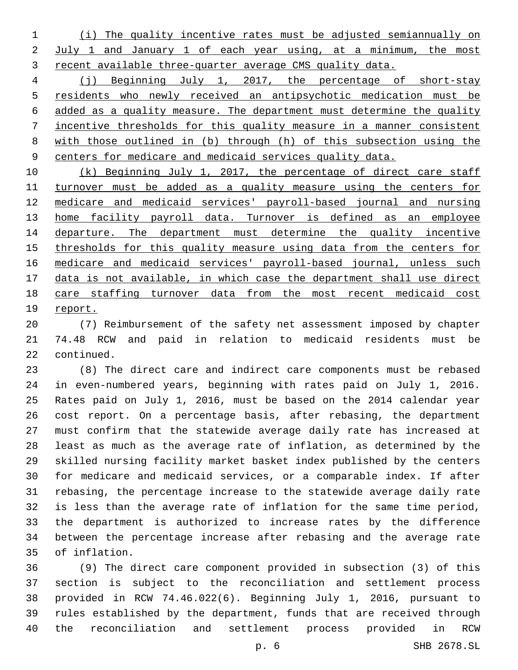(i) The quality incentive rates must be adjusted semiannually on July 1 and January 1 of each year using, at a minimum, the most recent available three-quarter average CMS quality data.

 (j) Beginning July 1, 2017, the percentage of short-stay residents who newly received an antipsychotic medication must be added as a quality measure. The department must determine the quality incentive thresholds for this quality measure in a manner consistent with those outlined in (b) through (h) of this subsection using the centers for medicare and medicaid services quality data.

 (k) Beginning July 1, 2017, the percentage of direct care staff 11 turnover must be added as a quality measure using the centers for medicare and medicaid services' payroll-based journal and nursing home facility payroll data. Turnover is defined as an employee 14 departure. The department must determine the quality incentive thresholds for this quality measure using data from the centers for medicare and medicaid services' payroll-based journal, unless such data is not available, in which case the department shall use direct care staffing turnover data from the most recent medicaid cost report.

 (7) Reimbursement of the safety net assessment imposed by chapter 74.48 RCW and paid in relation to medicaid residents must be 22 continued.

 (8) The direct care and indirect care components must be rebased in even-numbered years, beginning with rates paid on July 1, 2016. Rates paid on July 1, 2016, must be based on the 2014 calendar year cost report. On a percentage basis, after rebasing, the department must confirm that the statewide average daily rate has increased at least as much as the average rate of inflation, as determined by the skilled nursing facility market basket index published by the centers for medicare and medicaid services, or a comparable index. If after rebasing, the percentage increase to the statewide average daily rate is less than the average rate of inflation for the same time period, the department is authorized to increase rates by the difference between the percentage increase after rebasing and the average rate of inflation.35

 (9) The direct care component provided in subsection (3) of this section is subject to the reconciliation and settlement process provided in RCW 74.46.022(6). Beginning July 1, 2016, pursuant to rules established by the department, funds that are received through the reconciliation and settlement process provided in RCW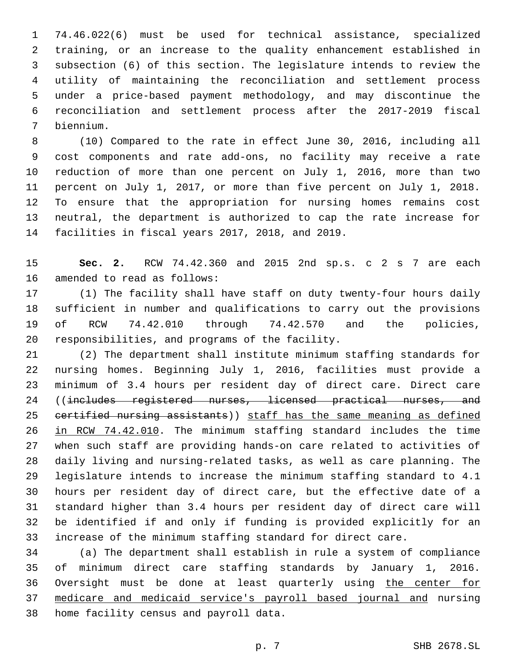74.46.022(6) must be used for technical assistance, specialized training, or an increase to the quality enhancement established in subsection (6) of this section. The legislature intends to review the utility of maintaining the reconciliation and settlement process under a price-based payment methodology, and may discontinue the reconciliation and settlement process after the 2017-2019 fiscal biennium.7

 (10) Compared to the rate in effect June 30, 2016, including all cost components and rate add-ons, no facility may receive a rate reduction of more than one percent on July 1, 2016, more than two percent on July 1, 2017, or more than five percent on July 1, 2018. To ensure that the appropriation for nursing homes remains cost neutral, the department is authorized to cap the rate increase for 14 facilities in fiscal years 2017, 2018, and 2019.

 **Sec. 2.** RCW 74.42.360 and 2015 2nd sp.s. c 2 s 7 are each 16 amended to read as follows:

 (1) The facility shall have staff on duty twenty-four hours daily sufficient in number and qualifications to carry out the provisions of RCW 74.42.010 through 74.42.570 and the policies, 20 responsibilities, and programs of the facility.

 (2) The department shall institute minimum staffing standards for nursing homes. Beginning July 1, 2016, facilities must provide a minimum of 3.4 hours per resident day of direct care. Direct care 24 ((includes registered nurses, licensed practical nurses, and 25 certified nursing assistants)) staff has the same meaning as defined in RCW 74.42.010. The minimum staffing standard includes the time when such staff are providing hands-on care related to activities of daily living and nursing-related tasks, as well as care planning. The legislature intends to increase the minimum staffing standard to 4.1 hours per resident day of direct care, but the effective date of a standard higher than 3.4 hours per resident day of direct care will be identified if and only if funding is provided explicitly for an increase of the minimum staffing standard for direct care.

 (a) The department shall establish in rule a system of compliance of minimum direct care staffing standards by January 1, 2016. Oversight must be done at least quarterly using the center for medicare and medicaid service's payroll based journal and nursing 38 home facility census and payroll data.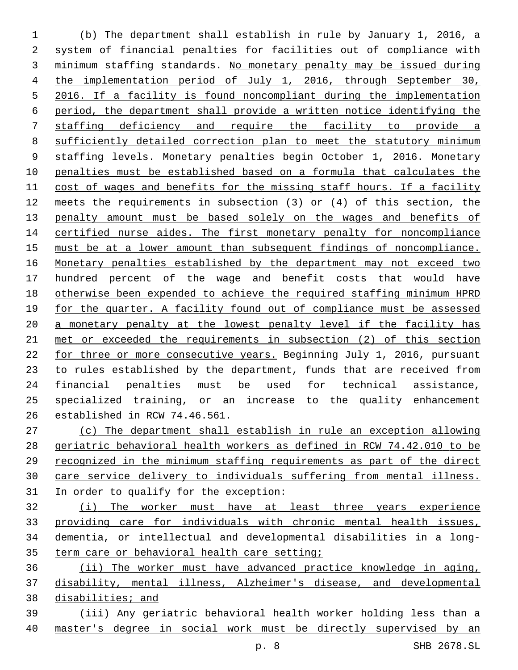(b) The department shall establish in rule by January 1, 2016, a system of financial penalties for facilities out of compliance with minimum staffing standards. No monetary penalty may be issued during 4 the implementation period of July 1, 2016, through September 30, 2016. If a facility is found noncompliant during the implementation period, the department shall provide a written notice identifying the staffing deficiency and require the facility to provide a sufficiently detailed correction plan to meet the statutory minimum staffing levels. Monetary penalties begin October 1, 2016. Monetary penalties must be established based on a formula that calculates the cost of wages and benefits for the missing staff hours. If a facility meets the requirements in subsection (3) or (4) of this section, the penalty amount must be based solely on the wages and benefits of 14 certified nurse aides. The first monetary penalty for noncompliance must be at a lower amount than subsequent findings of noncompliance. Monetary penalties established by the department may not exceed two hundred percent of the wage and benefit costs that would have otherwise been expended to achieve the required staffing minimum HPRD for the quarter. A facility found out of compliance must be assessed a monetary penalty at the lowest penalty level if the facility has met or exceeded the requirements in subsection (2) of this section 22 for three or more consecutive years. Beginning July 1, 2016, pursuant to rules established by the department, funds that are received from financial penalties must be used for technical assistance, specialized training, or an increase to the quality enhancement 26 established in RCW 74.46.561.

 (c) The department shall establish in rule an exception allowing geriatric behavioral health workers as defined in RCW 74.42.010 to be recognized in the minimum staffing requirements as part of the direct care service delivery to individuals suffering from mental illness. In order to qualify for the exception:

 (i) The worker must have at least three years experience providing care for individuals with chronic mental health issues, dementia, or intellectual and developmental disabilities in a long-35 term care or behavioral health care setting;

 (ii) The worker must have advanced practice knowledge in aging, disability, mental illness, Alzheimer's disease, and developmental 38 disabilities; and

 (iii) Any geriatric behavioral health worker holding less than a master's degree in social work must be directly supervised by an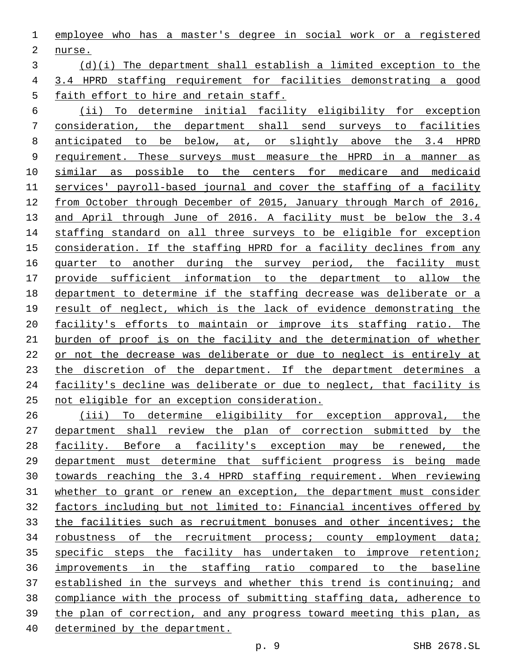employee who has a master's degree in social work or a registered 2 nurse.

# (d)(i) The department shall establish a limited exception to the 3.4 HPRD staffing requirement for facilities demonstrating a good 5 faith effort to hire and retain staff.

 (ii) To determine initial facility eligibility for exception consideration, the department shall send surveys to facilities 8 <u>anticipated to be below, at, or slightly above the 3.4 HPRD</u> 9 requirement. These surveys must measure the HPRD in a manner as similar as possible to the centers for medicare and medicaid services' payroll-based journal and cover the staffing of a facility from October through December of 2015, January through March of 2016, 13 and April through June of 2016. A facility must be below the 3.4 14 staffing standard on all three surveys to be eligible for exception consideration. If the staffing HPRD for a facility declines from any 16 quarter to another during the survey period, the facility must provide sufficient information to the department to allow the department to determine if the staffing decrease was deliberate or a result of neglect, which is the lack of evidence demonstrating the facility's efforts to maintain or improve its staffing ratio. The burden of proof is on the facility and the determination of whether or not the decrease was deliberate or due to neglect is entirely at 23 the discretion of the department. If the department determines a facility's decline was deliberate or due to neglect, that facility is not eligible for an exception consideration.

 (iii) To determine eligibility for exception approval, the department shall review the plan of correction submitted by the facility. Before a facility's exception may be renewed, the department must determine that sufficient progress is being made towards reaching the 3.4 HPRD staffing requirement. When reviewing whether to grant or renew an exception, the department must consider factors including but not limited to: Financial incentives offered by 33 the facilities such as recruitment bonuses and other incentives; the robustness of the recruitment process; county employment data; specific steps the facility has undertaken to improve retention; improvements in the staffing ratio compared to the baseline established in the surveys and whether this trend is continuing; and compliance with the process of submitting staffing data, adherence to the plan of correction, and any progress toward meeting this plan, as determined by the department.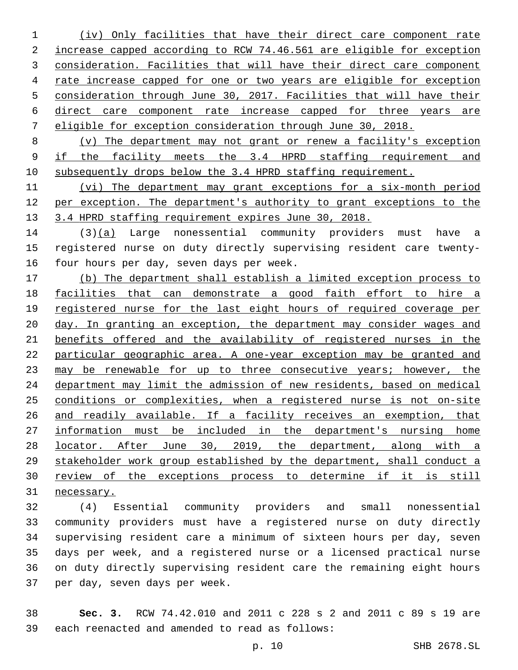(iv) Only facilities that have their direct care component rate increase capped according to RCW 74.46.561 are eligible for exception consideration. Facilities that will have their direct care component rate increase capped for one or two years are eligible for exception consideration through June 30, 2017. Facilities that will have their direct care component rate increase capped for three years are eligible for exception consideration through June 30, 2018.

 (v) The department may not grant or renew a facility's exception if the facility meets the 3.4 HPRD staffing requirement and subsequently drops below the 3.4 HPRD staffing requirement.

 (vi) The department may grant exceptions for a six-month period per exception. The department's authority to grant exceptions to the 13 3.4 HPRD staffing requirement expires June 30, 2018.

14 (3)(a) Large nonessential community providers must have a registered nurse on duty directly supervising resident care twenty-16 four hours per day, seven days per week.

 (b) The department shall establish a limited exception process to facilities that can demonstrate a good faith effort to hire a 19 registered nurse for the last eight hours of required coverage per day. In granting an exception, the department may consider wages and benefits offered and the availability of registered nurses in the particular geographic area. A one-year exception may be granted and 23 may be renewable for up to three consecutive years; however, the department may limit the admission of new residents, based on medical conditions or complexities, when a registered nurse is not on-site and readily available. If a facility receives an exemption, that information must be included in the department's nursing home locator. After June 30, 2019, the department, along with a stakeholder work group established by the department, shall conduct a review of the exceptions process to determine if it is still necessary.

 (4) Essential community providers and small nonessential community providers must have a registered nurse on duty directly supervising resident care a minimum of sixteen hours per day, seven days per week, and a registered nurse or a licensed practical nurse on duty directly supervising resident care the remaining eight hours 37 per day, seven days per week.

 **Sec. 3.** RCW 74.42.010 and 2011 c 228 s 2 and 2011 c 89 s 19 are 39 each reenacted and amended to read as follows: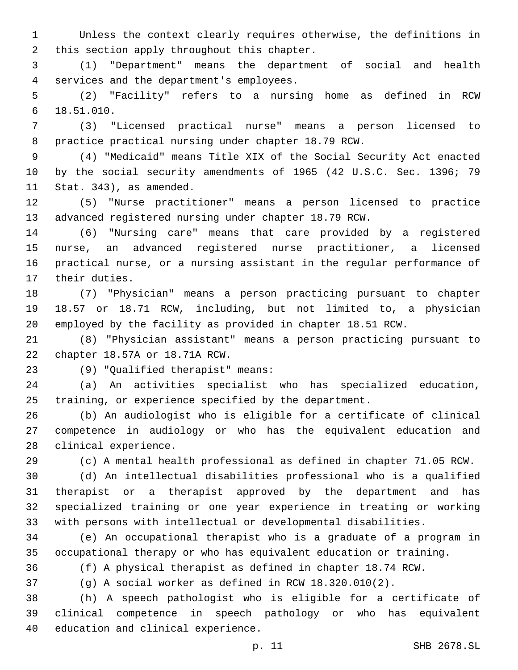Unless the context clearly requires otherwise, the definitions in 2 this section apply throughout this chapter.

 (1) "Department" means the department of social and health services and the department's employees.4

 (2) "Facility" refers to a nursing home as defined in RCW 18.51.010.6

 (3) "Licensed practical nurse" means a person licensed to practice practical nursing under chapter 18.79 RCW.

 (4) "Medicaid" means Title XIX of the Social Security Act enacted by the social security amendments of 1965 (42 U.S.C. Sec. 1396; 79 11 Stat. 343), as amended.

 (5) "Nurse practitioner" means a person licensed to practice advanced registered nursing under chapter 18.79 RCW.

 (6) "Nursing care" means that care provided by a registered nurse, an advanced registered nurse practitioner, a licensed practical nurse, or a nursing assistant in the regular performance of 17 their duties.

 (7) "Physician" means a person practicing pursuant to chapter 18.57 or 18.71 RCW, including, but not limited to, a physician employed by the facility as provided in chapter 18.51 RCW.

 (8) "Physician assistant" means a person practicing pursuant to 22 chapter 18.57A or 18.71A RCW.

(9) "Qualified therapist" means:23

 (a) An activities specialist who has specialized education, training, or experience specified by the department.

 (b) An audiologist who is eligible for a certificate of clinical competence in audiology or who has the equivalent education and 28 clinical experience.

(c) A mental health professional as defined in chapter 71.05 RCW.

 (d) An intellectual disabilities professional who is a qualified therapist or a therapist approved by the department and has specialized training or one year experience in treating or working with persons with intellectual or developmental disabilities.

 (e) An occupational therapist who is a graduate of a program in occupational therapy or who has equivalent education or training.

(f) A physical therapist as defined in chapter 18.74 RCW.

(g) A social worker as defined in RCW 18.320.010(2).

 (h) A speech pathologist who is eligible for a certificate of clinical competence in speech pathology or who has equivalent 40 education and clinical experience.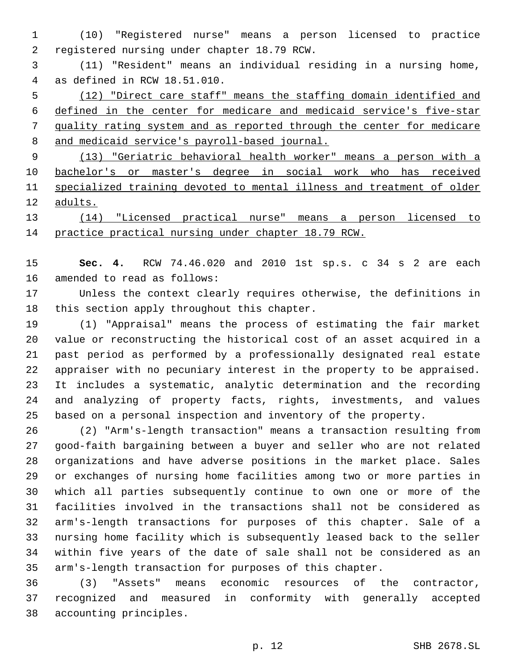(10) "Registered nurse" means a person licensed to practice 2 registered nursing under chapter 18.79 RCW.

 (11) "Resident" means an individual residing in a nursing home, as defined in RCW 18.51.010.4

 (12) "Direct care staff" means the staffing domain identified and defined in the center for medicare and medicaid service's five-star quality rating system and as reported through the center for medicare and medicaid service's payroll-based journal.

 (13) "Geriatric behavioral health worker" means a person with a bachelor's or master's degree in social work who has received specialized training devoted to mental illness and treatment of older adults.

 (14) "Licensed practical nurse" means a person licensed to practice practical nursing under chapter 18.79 RCW.

 **Sec. 4.** RCW 74.46.020 and 2010 1st sp.s. c 34 s 2 are each 16 amended to read as follows:

 Unless the context clearly requires otherwise, the definitions in 18 this section apply throughout this chapter.

 (1) "Appraisal" means the process of estimating the fair market value or reconstructing the historical cost of an asset acquired in a past period as performed by a professionally designated real estate appraiser with no pecuniary interest in the property to be appraised. It includes a systematic, analytic determination and the recording and analyzing of property facts, rights, investments, and values based on a personal inspection and inventory of the property.

 (2) "Arm's-length transaction" means a transaction resulting from good-faith bargaining between a buyer and seller who are not related organizations and have adverse positions in the market place. Sales or exchanges of nursing home facilities among two or more parties in which all parties subsequently continue to own one or more of the facilities involved in the transactions shall not be considered as arm's-length transactions for purposes of this chapter. Sale of a nursing home facility which is subsequently leased back to the seller within five years of the date of sale shall not be considered as an arm's-length transaction for purposes of this chapter.

 (3) "Assets" means economic resources of the contractor, recognized and measured in conformity with generally accepted 38 accounting principles.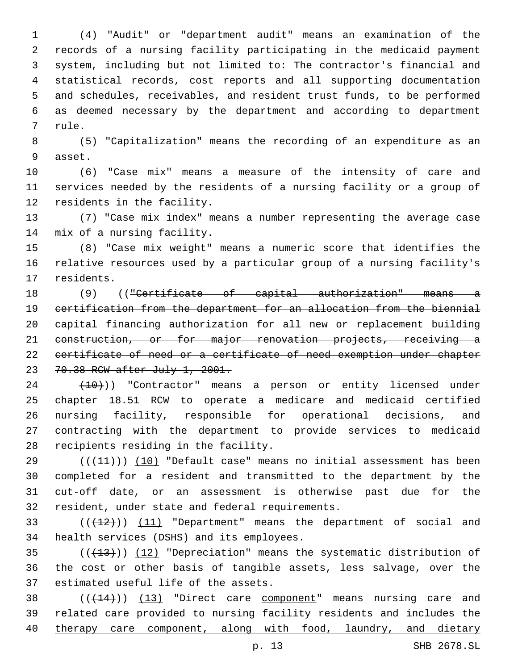(4) "Audit" or "department audit" means an examination of the records of a nursing facility participating in the medicaid payment system, including but not limited to: The contractor's financial and statistical records, cost reports and all supporting documentation and schedules, receivables, and resident trust funds, to be performed as deemed necessary by the department and according to department 7 rule.

 (5) "Capitalization" means the recording of an expenditure as an 9 asset.

 (6) "Case mix" means a measure of the intensity of care and services needed by the residents of a nursing facility or a group of 12 residents in the facility.

 (7) "Case mix index" means a number representing the average case 14 mix of a nursing facility.

 (8) "Case mix weight" means a numeric score that identifies the relative resources used by a particular group of a nursing facility's 17 residents.

 (9) (("Certificate of capital authorization" means a certification from the department for an allocation from the biennial capital financing authorization for all new or replacement building 21 construction, or for major renovation projects, receiving a certificate of need or a certificate of need exemption under chapter 70.38 RCW after July 1, 2001.

 $(24$   $(10))$  "Contractor" means a person or entity licensed under chapter 18.51 RCW to operate a medicare and medicaid certified nursing facility, responsible for operational decisions, and contracting with the department to provide services to medicaid 28 recipients residing in the facility.

 $((+11))$  (10) "Default case" means no initial assessment has been completed for a resident and transmitted to the department by the cut-off date, or an assessment is otherwise past due for the 32 resident, under state and federal requirements.

33 (( $(12)$ )) (11) "Department" means the department of social and 34 health services (DSHS) and its employees.

35  $((+13))$   $(12)$  "Depreciation" means the systematic distribution of the cost or other basis of tangible assets, less salvage, over the 37 estimated useful life of the assets.

38 (((+14))) (13) "Direct care component" means nursing care and related care provided to nursing facility residents and includes the 40 therapy care component, along with food, laundry, and dietary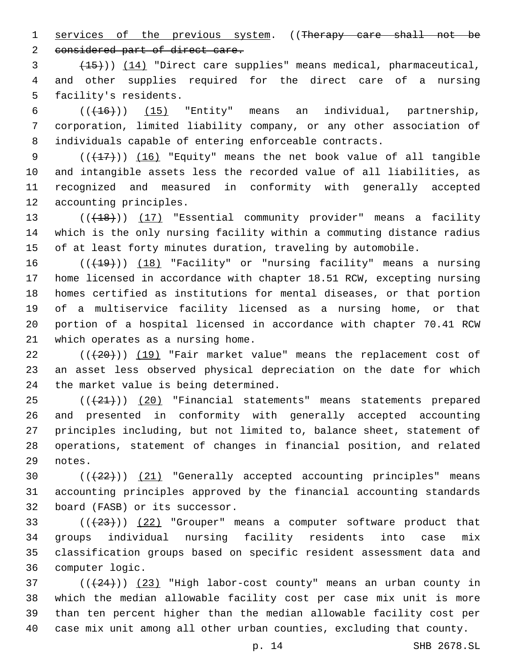1 services of the previous system. ((Therapy care shall not be

2 considered part of direct care.

3 (15))) (14) "Direct care supplies" means medical, pharmaceutical, 4 and other supplies required for the direct care of a nursing 5 facility's residents.

6  $((+16))$  (15) "Entity" means an individual, partnership, 7 corporation, limited liability company, or any other association of 8 individuals capable of entering enforceable contracts.

 $((+17))$   $(16)$  "Equity" means the net book value of all tangible and intangible assets less the recorded value of all liabilities, as recognized and measured in conformity with generally accepted 12 accounting principles.

13 (((18))) (17) "Essential community provider" means a facility 14 which is the only nursing facility within a commuting distance radius 15 of at least forty minutes duration, traveling by automobile.

16 (( $(19)$ ) (18) "Facility" or "nursing facility" means a nursing home licensed in accordance with chapter 18.51 RCW, excepting nursing homes certified as institutions for mental diseases, or that portion of a multiservice facility licensed as a nursing home, or that portion of a hospital licensed in accordance with chapter 70.41 RCW 21 which operates as a nursing home.

22  $((+20))$  (19) "Fair market value" means the replacement cost of 23 an asset less observed physical depreciation on the date for which 24 the market value is being determined.

25 (( $(21)$ ) (20) "Financial statements" means statements prepared 26 and presented in conformity with generally accepted accounting 27 principles including, but not limited to, balance sheet, statement of 28 operations, statement of changes in financial position, and related 29 notes.

30 (( $(22)$ )) (21) "Generally accepted accounting principles" means 31 accounting principles approved by the financial accounting standards 32 board (FASB) or its successor.

 $(1+23)$  ( $(22)$  "Grouper" means a computer software product that 34 groups individual nursing facility residents into case mix 35 classification groups based on specific resident assessment data and 36 computer logic.

 ( $(\frac{24}{12})$ ) (23) "High labor-cost county" means an urban county in which the median allowable facility cost per case mix unit is more than ten percent higher than the median allowable facility cost per case mix unit among all other urban counties, excluding that county.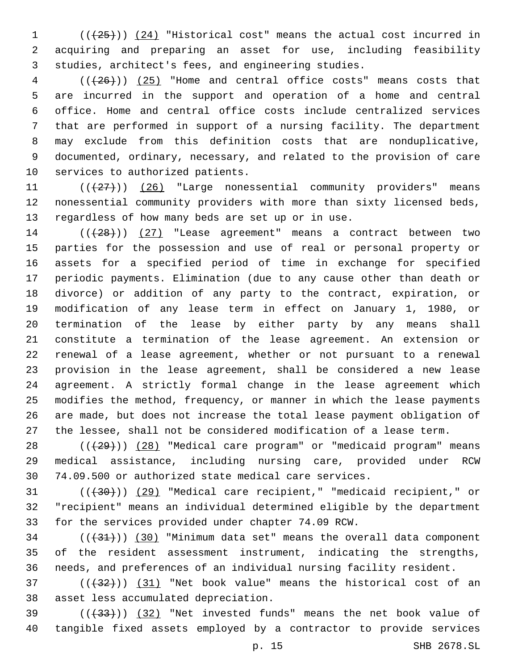(( $(25)$ )) (24) "Historical cost" means the actual cost incurred in acquiring and preparing an asset for use, including feasibility studies, architect's fees, and engineering studies.

 ( $(\overline{+26})$ ) (25) "Home and central office costs" means costs that are incurred in the support and operation of a home and central office. Home and central office costs include centralized services that are performed in support of a nursing facility. The department may exclude from this definition costs that are nonduplicative, documented, ordinary, necessary, and related to the provision of care 10 services to authorized patients.

 $((+27))$  (26) "Large nonessential community providers" means nonessential community providers with more than sixty licensed beds, 13 regardless of how many beds are set up or in use.

14 (( $(28)$ )) (27) "Lease agreement" means a contract between two parties for the possession and use of real or personal property or assets for a specified period of time in exchange for specified periodic payments. Elimination (due to any cause other than death or divorce) or addition of any party to the contract, expiration, or modification of any lease term in effect on January 1, 1980, or termination of the lease by either party by any means shall constitute a termination of the lease agreement. An extension or renewal of a lease agreement, whether or not pursuant to a renewal provision in the lease agreement, shall be considered a new lease agreement. A strictly formal change in the lease agreement which modifies the method, frequency, or manner in which the lease payments are made, but does not increase the total lease payment obligation of the lessee, shall not be considered modification of a lease term.

28 ((+29))) (28) "Medical care program" or "medicaid program" means medical assistance, including nursing care, provided under RCW 74.09.500 or authorized state medical care services.

31 (( $\left(\frac{30}{10}\right)$ ) (29) "Medical care recipient," "medicaid recipient," or "recipient" means an individual determined eligible by the department for the services provided under chapter 74.09 RCW.

 ( $(\frac{31}{})$ ) (30) "Minimum data set" means the overall data component of the resident assessment instrument, indicating the strengths, needs, and preferences of an individual nursing facility resident.

37 (( $(32)$ )) (31) "Net book value" means the historical cost of an 38 asset less accumulated depreciation.

 $(1+33)$  ( $(32)$  "Net invested funds" means the net book value of tangible fixed assets employed by a contractor to provide services

p. 15 SHB 2678.SL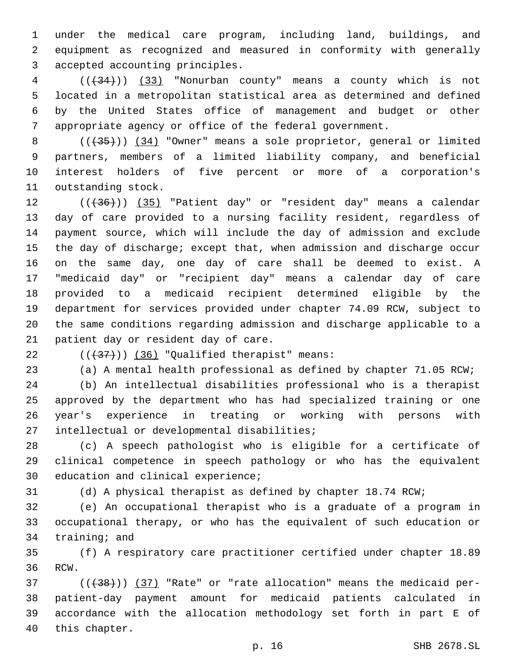under the medical care program, including land, buildings, and equipment as recognized and measured in conformity with generally 3 accepted accounting principles.

 (((34))) (33) "Nonurban county" means a county which is not located in a metropolitan statistical area as determined and defined by the United States office of management and budget or other appropriate agency or office of the federal government.

8 (( $(35)$ )) (34) "Owner" means a sole proprietor, general or limited partners, members of a limited liability company, and beneficial interest holders of five percent or more of a corporation's 11 outstanding stock.

12 ((+36))) (35) "Patient day" or "resident day" means a calendar day of care provided to a nursing facility resident, regardless of payment source, which will include the day of admission and exclude the day of discharge; except that, when admission and discharge occur on the same day, one day of care shall be deemed to exist. A "medicaid day" or "recipient day" means a calendar day of care provided to a medicaid recipient determined eligible by the department for services provided under chapter 74.09 RCW, subject to the same conditions regarding admission and discharge applicable to a 21 patient day or resident day of care.

22  $((+37))$  (36) "Qualified therapist" means:

(a) A mental health professional as defined by chapter 71.05 RCW;

 (b) An intellectual disabilities professional who is a therapist approved by the department who has had specialized training or one year's experience in treating or working with persons with 27 intellectual or developmental disabilities;

 (c) A speech pathologist who is eligible for a certificate of clinical competence in speech pathology or who has the equivalent 30 education and clinical experience;

(d) A physical therapist as defined by chapter 18.74 RCW;

 (e) An occupational therapist who is a graduate of a program in occupational therapy, or who has the equivalent of such education or 34 training; and

 (f) A respiratory care practitioner certified under chapter 18.89 36 RCW.

37 (( $(38)$ )) (37) "Rate" or "rate allocation" means the medicaid per- patient-day payment amount for medicaid patients calculated in accordance with the allocation methodology set forth in part E of 40 this chapter.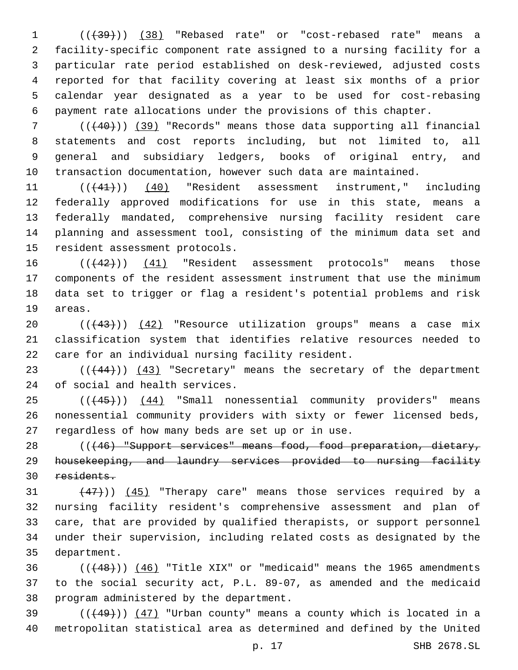1 (( $\left(\frac{1}{39}\right)$ ) (38) "Rebased rate" or "cost-rebased rate" means a facility-specific component rate assigned to a nursing facility for a particular rate period established on desk-reviewed, adjusted costs reported for that facility covering at least six months of a prior calendar year designated as a year to be used for cost-rebasing payment rate allocations under the provisions of this chapter.

 (((40))) (39) "Records" means those data supporting all financial statements and cost reports including, but not limited to, all general and subsidiary ledgers, books of original entry, and transaction documentation, however such data are maintained.

11 (( $(41)$ )) (40) "Resident assessment instrument," including federally approved modifications for use in this state, means a federally mandated, comprehensive nursing facility resident care planning and assessment tool, consisting of the minimum data set and 15 resident assessment protocols.

16 (( $(42)$ )) (41) "Resident assessment protocols" means those components of the resident assessment instrument that use the minimum data set to trigger or flag a resident's potential problems and risk 19 areas.

20 (( $(43)$ )) (42) "Resource utilization groups" means a case mix classification system that identifies relative resources needed to 22 care for an individual nursing facility resident.

23 (( $(444)$ )) (43) "Secretary" means the secretary of the department 24 of social and health services.

25 (( $(45)$ )) (44) "Small nonessential community providers" means nonessential community providers with sixty or fewer licensed beds, 27 regardless of how many beds are set up or in use.

 (((46) "Support services" means food, food preparation, dietary, housekeeping, and laundry services provided to nursing facility residents.

 $(47)$ ))  $(45)$  "Therapy care" means those services required by a nursing facility resident's comprehensive assessment and plan of care, that are provided by qualified therapists, or support personnel under their supervision, including related costs as designated by the 35 department.

 ( $(448)$ ))  $(46)$  "Title XIX" or "medicaid" means the 1965 amendments to the social security act, P.L. 89-07, as amended and the medicaid 38 program administered by the department.

39  $((+49))$   $(47)$  "Urban county" means a county which is located in a metropolitan statistical area as determined and defined by the United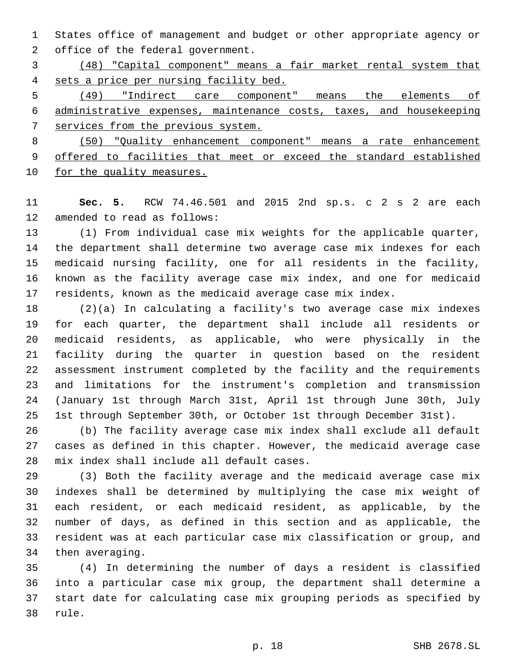States office of management and budget or other appropriate agency or 2 office of the federal government.

 (48) "Capital component" means a fair market rental system that sets a price per nursing facility bed.

 (49) "Indirect care component" means the elements of administrative expenses, maintenance costs, taxes, and housekeeping services from the previous system.

 (50) "Quality enhancement component" means a rate enhancement offered to facilities that meet or exceed the standard established 10 for the quality measures.

 **Sec. 5.** RCW 74.46.501 and 2015 2nd sp.s. c 2 s 2 are each 12 amended to read as follows:

 (1) From individual case mix weights for the applicable quarter, the department shall determine two average case mix indexes for each medicaid nursing facility, one for all residents in the facility, known as the facility average case mix index, and one for medicaid residents, known as the medicaid average case mix index.

 (2)(a) In calculating a facility's two average case mix indexes for each quarter, the department shall include all residents or medicaid residents, as applicable, who were physically in the facility during the quarter in question based on the resident assessment instrument completed by the facility and the requirements and limitations for the instrument's completion and transmission (January 1st through March 31st, April 1st through June 30th, July 1st through September 30th, or October 1st through December 31st).

 (b) The facility average case mix index shall exclude all default cases as defined in this chapter. However, the medicaid average case 28 mix index shall include all default cases.

 (3) Both the facility average and the medicaid average case mix indexes shall be determined by multiplying the case mix weight of each resident, or each medicaid resident, as applicable, by the number of days, as defined in this section and as applicable, the resident was at each particular case mix classification or group, and 34 then averaging.

 (4) In determining the number of days a resident is classified into a particular case mix group, the department shall determine a start date for calculating case mix grouping periods as specified by 38 rule.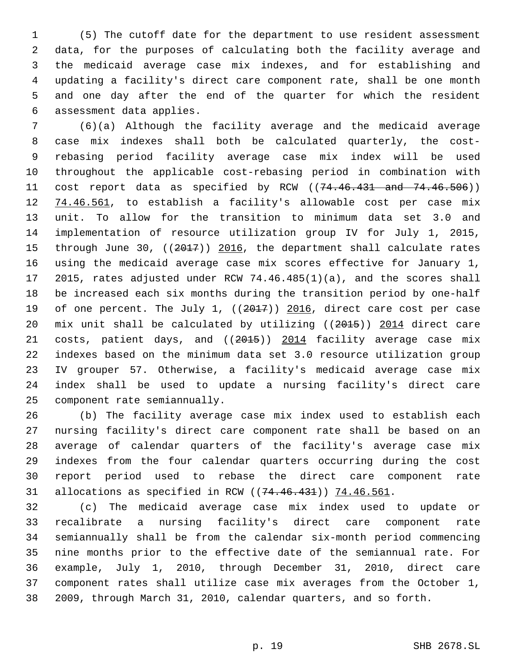(5) The cutoff date for the department to use resident assessment data, for the purposes of calculating both the facility average and the medicaid average case mix indexes, and for establishing and updating a facility's direct care component rate, shall be one month and one day after the end of the quarter for which the resident 6 assessment data applies.

 (6)(a) Although the facility average and the medicaid average case mix indexes shall both be calculated quarterly, the cost- rebasing period facility average case mix index will be used throughout the applicable cost-rebasing period in combination with 11 cost report data as specified by RCW ((74.46.431 and 74.46.506)) 12 74.46.561, to establish a facility's allowable cost per case mix unit. To allow for the transition to minimum data set 3.0 and implementation of resource utilization group IV for July 1, 2015, 15 through June 30, ((2017)) 2016, the department shall calculate rates using the medicaid average case mix scores effective for January 1, 2015, rates adjusted under RCW 74.46.485(1)(a), and the scores shall be increased each six months during the transition period by one-half 19 of one percent. The July 1, ((2017)) 2016, direct care cost per case mix unit shall be calculated by utilizing ((2015)) 2014 direct care 21 costs, patient days, and ((2015)) 2014 facility average case mix indexes based on the minimum data set 3.0 resource utilization group IV grouper 57. Otherwise, a facility's medicaid average case mix index shall be used to update a nursing facility's direct care 25 component rate semiannually.

 (b) The facility average case mix index used to establish each nursing facility's direct care component rate shall be based on an average of calendar quarters of the facility's average case mix indexes from the four calendar quarters occurring during the cost report period used to rebase the direct care component rate 31 allocations as specified in RCW ((74.46.431)) 74.46.561.

 (c) The medicaid average case mix index used to update or recalibrate a nursing facility's direct care component rate semiannually shall be from the calendar six-month period commencing nine months prior to the effective date of the semiannual rate. For example, July 1, 2010, through December 31, 2010, direct care component rates shall utilize case mix averages from the October 1, 2009, through March 31, 2010, calendar quarters, and so forth.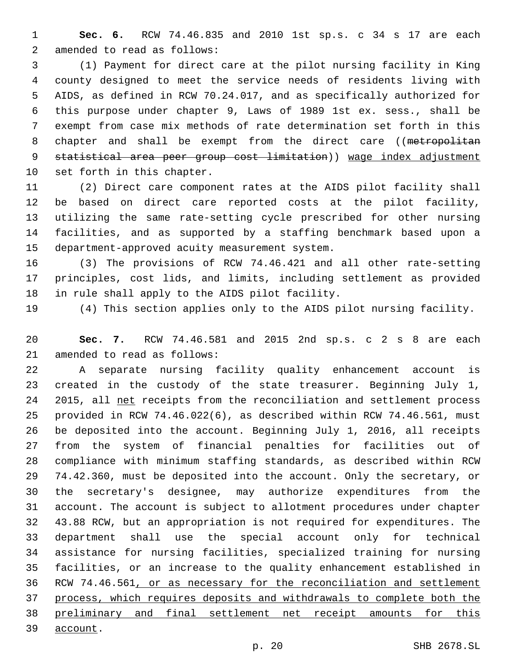**Sec. 6.** RCW 74.46.835 and 2010 1st sp.s. c 34 s 17 are each 2 amended to read as follows:

 (1) Payment for direct care at the pilot nursing facility in King county designed to meet the service needs of residents living with AIDS, as defined in RCW 70.24.017, and as specifically authorized for this purpose under chapter 9, Laws of 1989 1st ex. sess., shall be exempt from case mix methods of rate determination set forth in this 8 chapter and shall be exempt from the direct care ((metropolitan statistical area peer group cost limitation)) wage index adjustment 10 set forth in this chapter.

 (2) Direct care component rates at the AIDS pilot facility shall be based on direct care reported costs at the pilot facility, utilizing the same rate-setting cycle prescribed for other nursing facilities, and as supported by a staffing benchmark based upon a 15 department-approved acuity measurement system.

 (3) The provisions of RCW 74.46.421 and all other rate-setting principles, cost lids, and limits, including settlement as provided 18 in rule shall apply to the AIDS pilot facility.

(4) This section applies only to the AIDS pilot nursing facility.

 **Sec. 7.** RCW 74.46.581 and 2015 2nd sp.s. c 2 s 8 are each 21 amended to read as follows:

 A separate nursing facility quality enhancement account is created in the custody of the state treasurer. Beginning July 1, 24 2015, all net receipts from the reconciliation and settlement process provided in RCW 74.46.022(6), as described within RCW 74.46.561, must be deposited into the account. Beginning July 1, 2016, all receipts from the system of financial penalties for facilities out of compliance with minimum staffing standards, as described within RCW 74.42.360, must be deposited into the account. Only the secretary, or the secretary's designee, may authorize expenditures from the account. The account is subject to allotment procedures under chapter 43.88 RCW, but an appropriation is not required for expenditures. The department shall use the special account only for technical assistance for nursing facilities, specialized training for nursing facilities, or an increase to the quality enhancement established in RCW 74.46.561, or as necessary for the reconciliation and settlement process, which requires deposits and withdrawals to complete both the preliminary and final settlement net receipt amounts for this

39 account.